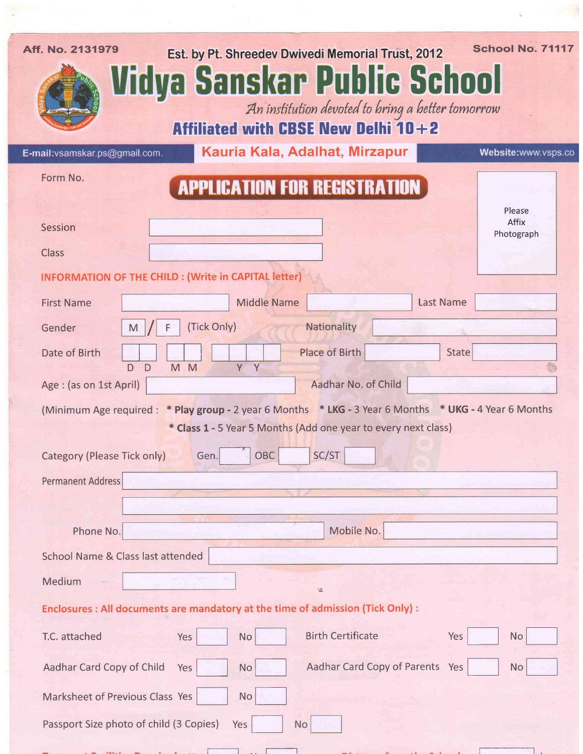| Aff. No. 2131979                  | Est. by Pt. Shreedev Dwivedi Memorial Trust, 2012<br>Vidya Sanskar Public School                      | School No. 71117    |
|-----------------------------------|-------------------------------------------------------------------------------------------------------|---------------------|
|                                   | An institution devoted to bring a better tomorrow                                                     |                     |
|                                   | <b>Affiliated with CBSE New Delhi 10+2</b>                                                            |                     |
| E-mail: vsamskar.ps@gmail.com.    | Kauria Kala, Adalhat, Mirzapur                                                                        | Website:www.vsps.co |
| Form No.                          | <b>APPLICATION FOR REGISTRATION</b>                                                                   | Please              |
| Session                           |                                                                                                       | Affix<br>Photograph |
| <b>Class</b>                      |                                                                                                       |                     |
|                                   | <b>INFORMATION OF THE CHILD : (Write in CAPITAL letter)</b>                                           |                     |
| <b>First Name</b>                 | <b>Middle Name</b><br><b>Last Name</b>                                                                |                     |
| Gender                            | Nationality<br>(Tick Only)<br>M                                                                       |                     |
| Date of Birth                     | <b>Place of Birth</b><br><b>State</b><br>Y Y<br>M <sub>M</sub><br>D.<br>D                             |                     |
| Age : (as on 1st April)           | Aadhar No. of Child                                                                                   |                     |
|                                   | (Minimum Age required: * Play group - 2 year 6 Months * LKG - 3 Year 6 Months * UKG - 4 Year 6 Months |                     |
|                                   | * Class 1 - 5 Year 5 Months (Add one year to every next class)                                        |                     |
| Category (Please Tick only)       | $\overline{z}$<br>SC/ST<br>OBC<br>Gen.                                                                |                     |
| <b>Permanent Address</b>          |                                                                                                       |                     |
|                                   |                                                                                                       |                     |
| Phone No.                         | Mobile No.                                                                                            |                     |
| School Name & Class last attended |                                                                                                       |                     |
| Medium                            | $\frac{1}{2}$                                                                                         |                     |
|                                   | Enclosures : All documents are mandatory at the time of admission (Tick Only) :                       |                     |
| T.C. attached                     | <b>Birth Certificate</b><br>Yes<br>Yes<br>No                                                          | <b>No</b>           |
| Aadhar Card Copy of Child         | Aadhar Card Copy of Parents Yes<br>Yes<br><b>No</b>                                                   | <b>No</b>           |
| Marksheet of Previous Class Yes   | <b>No</b>                                                                                             |                     |
|                                   | Passport Size photo of child (3 Copies)<br>Yes<br>No                                                  |                     |

 $\sum_{i=1}^n\left(\frac{1}{n}\right)^2\left(\frac{1}{n}\right)^2\left(\frac{1}{n}\right)^2\left(\frac{1}{n}\right)^2$ 

.  $\sim$   $\sim$ 

 $\mathbf{r} = \left\{ \begin{array}{ll} 0 & \text{if} \ \mathbf{r} \neq \mathbf{0} \end{array} \right\}$